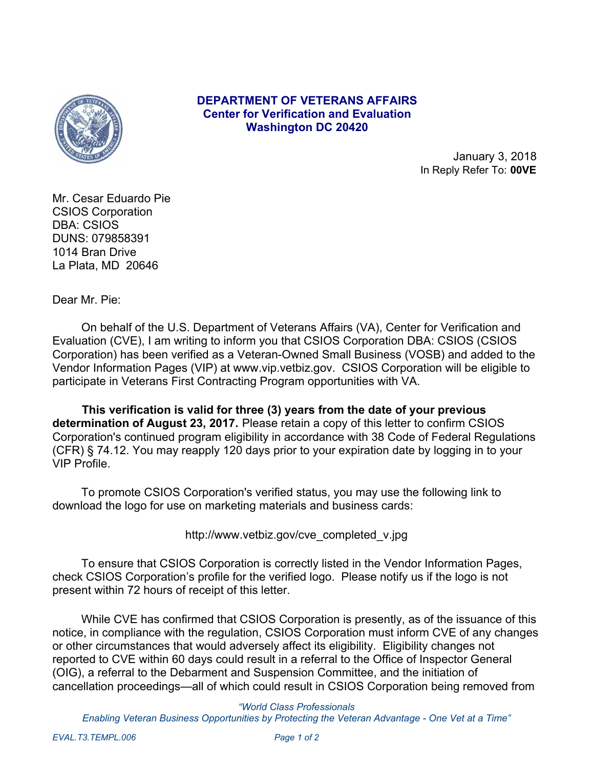

## **DEPARTMENT OF VETERANS AFFAIRS Center for Verification and Evaluation Washington DC 20420**

January 3, 2018 In Reply Refer To: **00VE**

Mr. Cesar Eduardo Pie CSIOS Corporation DBA: CSIOS DUNS: 079858391 1014 Bran Drive La Plata, MD 20646

Dear Mr. Pie:

 On behalf of the U.S. Department of Veterans Affairs (VA), Center for Verification and Evaluation (CVE), I am writing to inform you that CSIOS Corporation DBA: CSIOS (CSIOS Corporation) has been verified as a Veteran-Owned Small Business (VOSB) and added to the Vendor Information Pages (VIP) at www.vip.vetbiz.gov. CSIOS Corporation will be eligible to participate in Veterans First Contracting Program opportunities with VA.

 **This verification is valid for three (3) years from the date of your previous determination of August 23, 2017.** Please retain a copy of this letter to confirm CSIOS Corporation's continued program eligibility in accordance with 38 Code of Federal Regulations (CFR) § 74.12. You may reapply 120 days prior to your expiration date by logging in to your VIP Profile.

 To promote CSIOS Corporation's verified status, you may use the following link to download the logo for use on marketing materials and business cards:

http://www.vetbiz.gov/cve\_completed\_v.jpg

 To ensure that CSIOS Corporation is correctly listed in the Vendor Information Pages, check CSIOS Corporation's profile for the verified logo. Please notify us if the logo is not present within 72 hours of receipt of this letter.

 While CVE has confirmed that CSIOS Corporation is presently, as of the issuance of this notice, in compliance with the regulation, CSIOS Corporation must inform CVE of any changes or other circumstances that would adversely affect its eligibility. Eligibility changes not reported to CVE within 60 days could result in a referral to the Office of Inspector General (OIG), a referral to the Debarment and Suspension Committee, and the initiation of cancellation proceedings—all of which could result in CSIOS Corporation being removed from